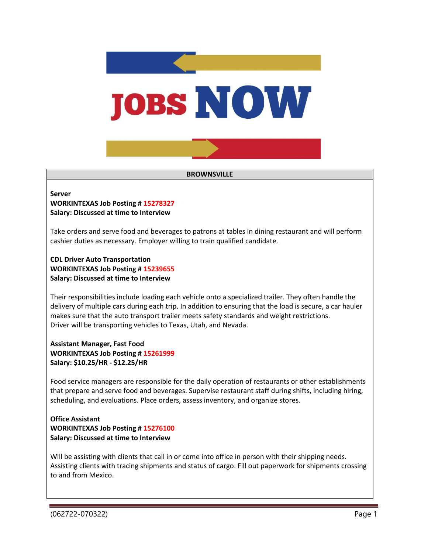

#### **BROWNSVILLE**

# **Server**

**WORKINTEXAS Job Posting # 15278327 Salary: Discussed at time to Interview**

Take orders and serve food and beverages to patrons at tables in dining restaurant and will perform cashier duties as necessary. Employer willing to train qualified candidate.

**CDL Driver Auto Transportation WORKINTEXAS Job Posting # 15239655 Salary: Discussed at time to Interview**

Their responsibilities include loading each vehicle onto a specialized trailer. They often handle the delivery of multiple cars during each trip. In addition to ensuring that the load is secure, a car hauler makes sure that the auto transport trailer meets safety standards and weight restrictions. Driver will be transporting vehicles to Texas, Utah, and Nevada.

## **Assistant Manager, Fast Food WORKINTEXAS Job Posting # 15261999 Salary: \$10.25/HR - \$12.25/HR**

Food service managers are responsible for the daily operation of restaurants or other establishments that prepare and serve food and beverages. Supervise restaurant staff during shifts, including hiring, scheduling, and evaluations. Place orders, assess inventory, and organize stores.

### **Office Assistant WORKINTEXAS Job Posting # 15276100 Salary: Discussed at time to Interview**

Will be assisting with clients that call in or come into office in person with their shipping needs. Assisting clients with tracing shipments and status of cargo. Fill out paperwork for shipments crossing to and from Mexico.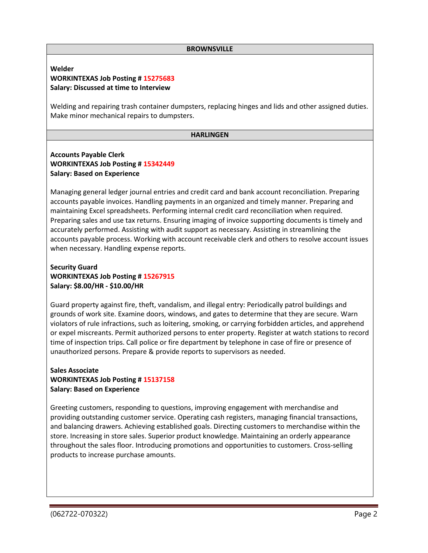#### **BROWNSVILLE**

### **Welder WORKINTEXAS Job Posting # 15275683 Salary: Discussed at time to Interview**

Welding and repairing trash container dumpsters, replacing hinges and lids and other assigned duties. Make minor mechanical repairs to dumpsters.

#### **HARLINGEN**

# **Accounts Payable Clerk WORKINTEXAS Job Posting # 15342449 Salary: Based on Experience**

Managing general ledger journal entries and credit card and bank account reconciliation. Preparing accounts payable invoices. Handling payments in an organized and timely manner. Preparing and maintaining Excel spreadsheets. Performing internal credit card reconciliation when required. Preparing sales and use tax returns. Ensuring imaging of invoice supporting documents is timely and accurately performed. Assisting with audit support as necessary. Assisting in streamlining the accounts payable process. Working with account receivable clerk and others to resolve account issues when necessary. Handling expense reports.

# **Security Guard WORKINTEXAS Job Posting # 15267915 Salary: \$8.00/HR - \$10.00/HR**

Guard property against fire, theft, vandalism, and illegal entry: Periodically patrol buildings and grounds of work site. Examine doors, windows, and gates to determine that they are secure. Warn violators of rule infractions, such as loitering, smoking, or carrying forbidden articles, and apprehend or expel miscreants. Permit authorized persons to enter property. Register at watch stations to record time of inspection trips. Call police or fire department by telephone in case of fire or presence of unauthorized persons. Prepare & provide reports to supervisors as needed.

# **Sales Associate WORKINTEXAS Job Posting # 15137158 Salary: Based on Experience**

Greeting customers, responding to questions, improving engagement with merchandise and providing outstanding customer service. Operating cash registers, managing financial transactions, and balancing drawers. Achieving established goals. Directing customers to merchandise within the store. Increasing in store sales. Superior product knowledge. Maintaining an orderly appearance throughout the sales floor. Introducing promotions and opportunities to customers. Cross-selling products to increase purchase amounts.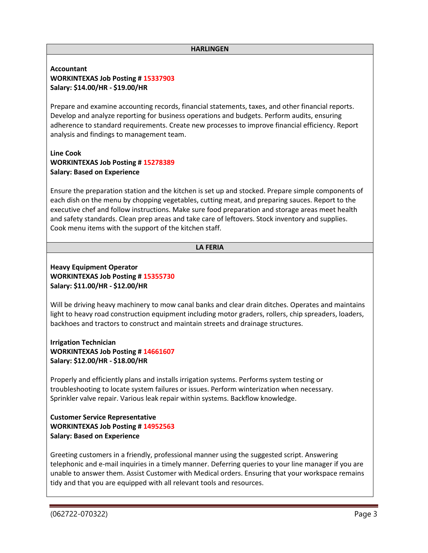#### **HARLINGEN**

### **Accountant WORKINTEXAS Job Posting # 15337903 Salary: \$14.00/HR - \$19.00/HR**

Prepare and examine accounting records, financial statements, taxes, and other financial reports. Develop and analyze reporting for business operations and budgets. Perform audits, ensuring adherence to standard requirements. Create new processes to improve financial efficiency. Report analysis and findings to management team.

### **Line Cook WORKINTEXAS Job Posting # 15278389 Salary: Based on Experience**

Ensure the preparation station and the kitchen is set up and stocked. Prepare simple components of each dish on the menu by chopping vegetables, cutting meat, and preparing sauces. Report to the executive chef and follow instructions. Make sure food preparation and storage areas meet health and safety standards. Clean prep areas and take care of leftovers. Stock inventory and supplies. Cook menu items with the support of the kitchen staff.

#### **LA FERIA**

# **Heavy Equipment Operator WORKINTEXAS Job Posting # 15355730 Salary: \$11.00/HR - \$12.00/HR**

Will be driving heavy machinery to mow canal banks and clear drain ditches. Operates and maintains light to heavy road construction equipment including motor graders, rollers, chip spreaders, loaders, backhoes and tractors to construct and maintain streets and drainage structures.

**Irrigation Technician WORKINTEXAS Job Posting # 14661607 Salary: \$12.00/HR - \$18.00/HR**

Properly and efficiently plans and installs irrigation systems. Performs system testing or troubleshooting to locate system failures or issues. Perform winterization when necessary. Sprinkler valve repair. Various leak repair within systems. Backflow knowledge.

## **Customer Service Representative WORKINTEXAS Job Posting # 14952563 Salary: Based on Experience**

Greeting customers in a friendly, professional manner using the suggested script. Answering telephonic and e-mail inquiries in a timely manner. Deferring queries to your line manager if you are unable to answer them. Assist Customer with Medical orders. Ensuring that your workspace remains tidy and that you are equipped with all relevant tools and resources.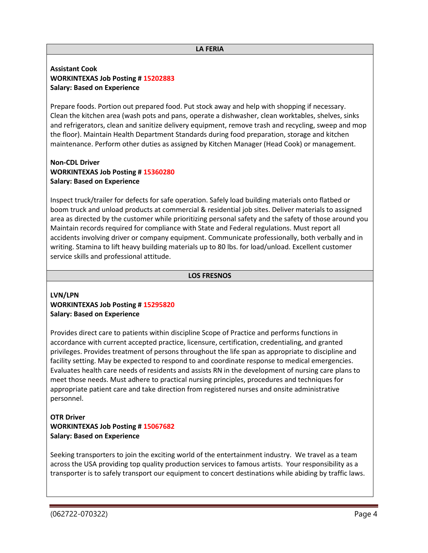## **Assistant Cook WORKINTEXAS Job Posting # 15202883 Salary: Based on Experience**

Prepare foods. Portion out prepared food. Put stock away and help with shopping if necessary. Clean the kitchen area (wash pots and pans, operate a dishwasher, clean worktables, shelves, sinks and refrigerators, clean and sanitize delivery equipment, remove trash and recycling, sweep and mop the floor). Maintain Health Department Standards during food preparation, storage and kitchen maintenance. Perform other duties as assigned by Kitchen Manager (Head Cook) or management.

# **Non-CDL Driver WORKINTEXAS Job Posting # 15360280 Salary: Based on Experience**

Inspect truck/trailer for defects for safe operation. Safely load building materials onto flatbed or boom truck and unload products at commercial & residential job sites. Deliver materials to assigned area as directed by the customer while prioritizing personal safety and the safety of those around you Maintain records required for compliance with State and Federal regulations. Must report all accidents involving driver or company equipment. Communicate professionally, both verbally and in writing. Stamina to lift heavy building materials up to 80 lbs. for load/unload. Excellent customer service skills and professional attitude.

### **LOS FRESNOS**

## **LVN/LPN WORKINTEXAS Job Posting # 15295820 Salary: Based on Experience**

Provides direct care to patients within discipline Scope of Practice and performs functions in accordance with current accepted practice, licensure, certification, credentialing, and granted privileges. Provides treatment of persons throughout the life span as appropriate to discipline and facility setting. May be expected to respond to and coordinate response to medical emergencies. Evaluates health care needs of residents and assists RN in the development of nursing care plans to meet those needs. Must adhere to practical nursing principles, procedures and techniques for appropriate patient care and take direction from registered nurses and onsite administrative personnel.

# **OTR Driver WORKINTEXAS Job Posting # 15067682 Salary: Based on Experience**

Seeking transporters to join the exciting world of the entertainment industry. We travel as a team across the USA providing top quality production services to famous artists. Your responsibility as a transporter is to safely transport our equipment to concert destinations while abiding by traffic laws.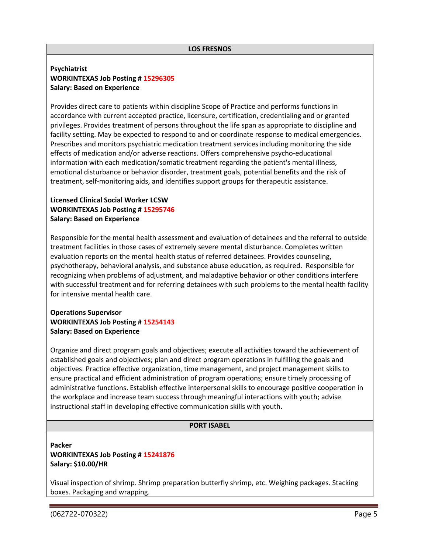## **Psychiatrist WORKINTEXAS Job Posting # 15296305 Salary: Based on Experience**

Provides direct care to patients within discipline Scope of Practice and performs functions in accordance with current accepted practice, licensure, certification, credentialing and or granted privileges. Provides treatment of persons throughout the life span as appropriate to discipline and facility setting. May be expected to respond to and or coordinate response to medical emergencies. Prescribes and monitors psychiatric medication treatment services including monitoring the side effects of medication and/or adverse reactions. Offers comprehensive psycho-educational information with each medication/somatic treatment regarding the patient's mental illness, emotional disturbance or behavior disorder, treatment goals, potential benefits and the risk of treatment, self-monitoring aids, and identifies support groups for therapeutic assistance.

# **Licensed Clinical Social Worker LCSW WORKINTEXAS Job Posting # 15295746 Salary: Based on Experience**

Responsible for the mental health assessment and evaluation of detainees and the referral to outside treatment facilities in those cases of extremely severe mental disturbance. Completes written evaluation reports on the mental health status of referred detainees. Provides counseling, psychotherapy, behavioral analysis, and substance abuse education, as required. Responsible for recognizing when problems of adjustment, and maladaptive behavior or other conditions interfere with successful treatment and for referring detainees with such problems to the mental health facility for intensive mental health care.

# **Operations Supervisor WORKINTEXAS Job Posting # 15254143 Salary: Based on Experience**

Organize and direct program goals and objectives; execute all activities toward the achievement of established goals and objectives; plan and direct program operations in fulfilling the goals and objectives. Practice effective organization, time management, and project management skills to ensure practical and efficient administration of program operations; ensure timely processing of administrative functions. Establish effective interpersonal skills to encourage positive cooperation in the workplace and increase team success through meaningful interactions with youth; advise instructional staff in developing effective communication skills with youth.

### **PORT ISABEL**

# **Packer WORKINTEXAS Job Posting # 15241876 Salary: \$10.00/HR**

Visual inspection of shrimp. Shrimp preparation butterfly shrimp, etc. Weighing packages. Stacking boxes. Packaging and wrapping.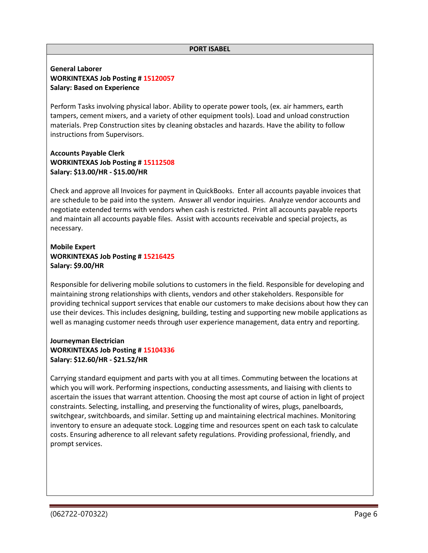#### **PORT ISABEL**

### **General Laborer WORKINTEXAS Job Posting # 15120057 Salary: Based on Experience**

Perform Tasks involving physical labor. Ability to operate power tools, (ex. air hammers, earth tampers, cement mixers, and a variety of other equipment tools). Load and unload construction materials. Prep Construction sites by cleaning obstacles and hazards. Have the ability to follow instructions from Supervisors.

## **Accounts Payable Clerk WORKINTEXAS Job Posting # 15112508 Salary: \$13.00/HR - \$15.00/HR**

Check and approve all Invoices for payment in QuickBooks. Enter all accounts payable invoices that are schedule to be paid into the system. Answer all vendor inquiries. Analyze vendor accounts and negotiate extended terms with vendors when cash is restricted. Print all accounts payable reports and maintain all accounts payable files. Assist with accounts receivable and special projects, as necessary.

# **Mobile Expert WORKINTEXAS Job Posting # 15216425 Salary: \$9.00/HR**

Responsible for delivering mobile solutions to customers in the field. Responsible for developing and maintaining strong relationships with clients, vendors and other stakeholders. Responsible for providing technical support services that enable our customers to make decisions about how they can use their devices. This includes designing, building, testing and supporting new mobile applications as well as managing customer needs through user experience management, data entry and reporting.

## **Journeyman Electrician WORKINTEXAS Job Posting # 15104336 Salary: \$12.60/HR - \$21.52/HR**

Carrying standard equipment and parts with you at all times. Commuting between the locations at which you will work. Performing inspections, conducting assessments, and liaising with clients to ascertain the issues that warrant attention. Choosing the most apt course of action in light of project constraints. Selecting, installing, and preserving the functionality of wires, plugs, panelboards, switchgear, switchboards, and similar. Setting up and maintaining electrical machines. Monitoring inventory to ensure an adequate stock. Logging time and resources spent on each task to calculate costs. Ensuring adherence to all relevant safety regulations. Providing professional, friendly, and prompt services.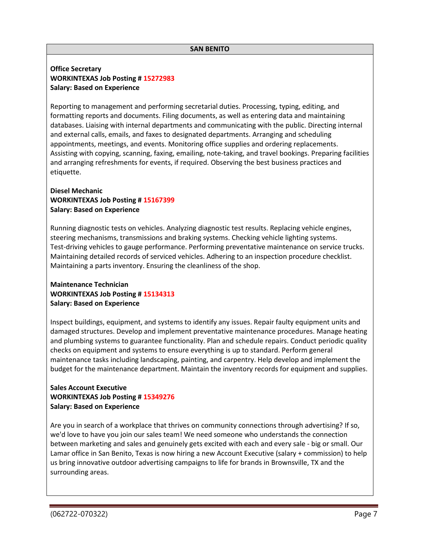## **Office Secretary WORKINTEXAS Job Posting # 15272983 Salary: Based on Experience**

Reporting to management and performing secretarial duties. Processing, typing, editing, and formatting reports and documents. Filing documents, as well as entering data and maintaining databases. Liaising with internal departments and communicating with the public. Directing internal and external calls, emails, and faxes to designated departments. Arranging and scheduling appointments, meetings, and events. Monitoring office supplies and ordering replacements. Assisting with copying, scanning, faxing, emailing, note-taking, and travel bookings. Preparing facilities and arranging refreshments for events, if required. Observing the best business practices and etiquette.

# **Diesel Mechanic WORKINTEXAS Job Posting # 15167399 Salary: Based on Experience**

Running diagnostic tests on vehicles. Analyzing diagnostic test results. Replacing vehicle engines, steering mechanisms, transmissions and braking systems. Checking vehicle lighting systems. Test-driving vehicles to gauge performance. Performing preventative maintenance on service trucks. Maintaining detailed records of serviced vehicles. Adhering to an inspection procedure checklist. Maintaining a parts inventory. Ensuring the cleanliness of the shop.

# **Maintenance Technician WORKINTEXAS Job Posting # 15134313 Salary: Based on Experience**

Inspect buildings, equipment, and systems to identify any issues. Repair faulty equipment units and damaged structures. Develop and implement preventative maintenance procedures. Manage heating and plumbing systems to guarantee functionality. Plan and schedule repairs. Conduct periodic quality checks on equipment and systems to ensure everything is up to standard. Perform general maintenance tasks including landscaping, painting, and carpentry. Help develop and implement the budget for the maintenance department. Maintain the inventory records for equipment and supplies.

# **Sales Account Executive WORKINTEXAS Job Posting # 15349276 Salary: Based on Experience**

Are you in search of a workplace that thrives on community connections through advertising? If so, we'd love to have you join our sales team! We need someone who understands the connection between marketing and sales and genuinely gets excited with each and every sale - big or small. Our Lamar office in San Benito, Texas is now hiring a new Account Executive (salary + commission) to help us bring innovative outdoor advertising campaigns to life for brands in Brownsville, TX and the surrounding areas.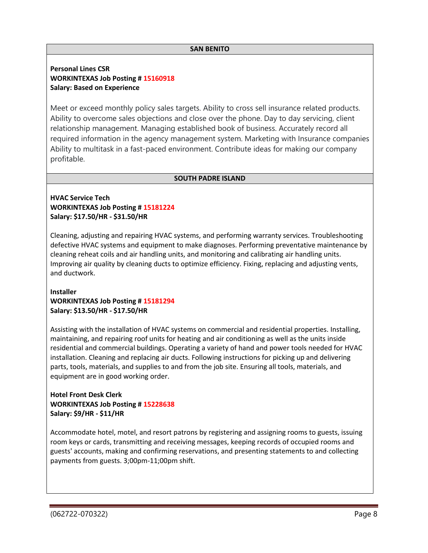### **SAN BENITO**

# **Personal Lines CSR WORKINTEXAS Job Posting # 15160918 Salary: Based on Experience**

Meet or exceed monthly policy sales targets. Ability to cross sell insurance related products. Ability to overcome sales objections and close over the phone. Day to day servicing, client relationship management. Managing established book of business. Accurately record all required information in the agency management system. Marketing with Insurance companies Ability to multitask in a fast-paced environment. Contribute ideas for making our company profitable.

## **SOUTH PADRE ISLAND**

# **HVAC Service Tech WORKINTEXAS Job Posting # 15181224 Salary: \$17.50/HR - \$31.50/HR**

Cleaning, adjusting and repairing HVAC systems, and performing warranty services. Troubleshooting defective HVAC systems and equipment to make diagnoses. Performing preventative maintenance by cleaning reheat coils and air handling units, and monitoring and calibrating air handling units. Improving air quality by cleaning ducts to optimize efficiency. Fixing, replacing and adjusting vents, and ductwork.

# **Installer WORKINTEXAS Job Posting # 15181294 Salary: \$13.50/HR - \$17.50/HR**

Assisting with the installation of HVAC systems on commercial and residential properties. Installing, maintaining, and repairing roof units for heating and air conditioning as well as the units inside residential and commercial buildings. Operating a variety of hand and power tools needed for HVAC installation. Cleaning and replacing air ducts. Following instructions for picking up and delivering parts, tools, materials, and supplies to and from the job site. Ensuring all tools, materials, and equipment are in good working order.

# **Hotel Front Desk Clerk WORKINTEXAS Job Posting # 15228638 Salary: \$9/HR - \$11/HR**

Accommodate hotel, motel, and resort patrons by registering and assigning rooms to guests, issuing room keys or cards, transmitting and receiving messages, keeping records of occupied rooms and guests' accounts, making and confirming reservations, and presenting statements to and collecting payments from guests. 3;00pm-11;00pm shift.